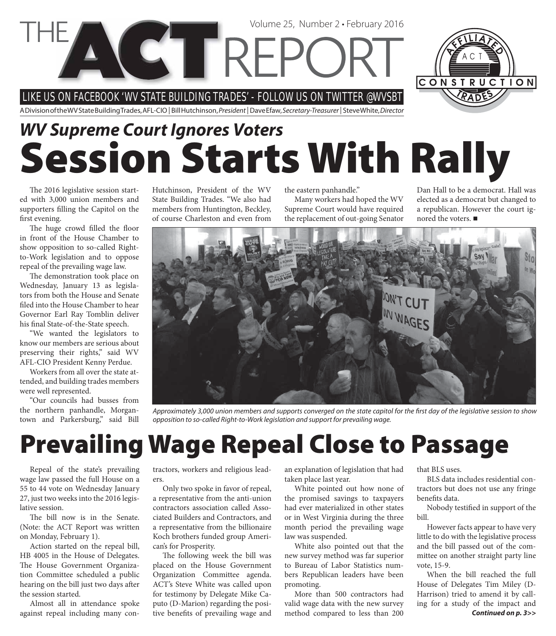LIKE US ON FACEBOOK 'WV STATE BUILDING TRADES' - FOLLOW US ON TWITTER @WVSBT

**COTREPC** 

A Division of the WV State Building Trades, AFL-CIO | Bill Hutchinson, President | Dave Efaw, Secretary-Treasurer | Steve White, Director

# **Session Starts With Rally** *WV Supreme Court Ignores Voters*

The 2016 legislative session started with 3,000 union members and supporters filling the Capitol on the first evening.

The huge crowd filled the floor in front of the House Chamber to show opposition to so-called Rightto-Work legislation and to oppose repeal of the prevailing wage law.

The demonstration took place on Wednesday, January 13 as legislators from both the House and Senate filed into the House Chamber to hear Governor Earl Ray Tomblin deliver his final State-of-the-State speech.

"We wanted the legislators to know our members are serious about preserving their rights," said WV AFL-CIO President Kenny Perdue.

Workers from all over the state attended, and building trades members were well represented.

"Our councils had busses from the northern panhandle, Morgantown and Parkersburg," said Bill Hutchinson, President of the WV State Building Trades. "We also had members from Huntington, Beckley, of course Charleston and even from

the eastern panhandle."

Volume 25, Number 2 • February 2016

Many workers had hoped the WV Supreme Court would have required the replacement of out-going Senator

Dan Hall to be a democrat. Hall was elected as a democrat but changed to a republican. However the court ignored the voters. ■

> Sto on W

Approximately 3,000 union members and supports converged on the state capitol for the first day of the legislative session to show opposition to so-called Right-to-Work legislation and support for prevailing wage.

### **Prevailing Wage Repeal Close to Passage**

Repeal of the state's prevailing wage law passed the full House on a 55 to 44 vote on Wednesday January 27, just two weeks into the 2016 legislative session.

The bill now is in the Senate. (Note: the ACT Report was written on Monday, February 1).

Action started on the repeal bill, HB 4005 in the House of Delegates. The House Government Organization Committee scheduled a public hearing on the bill just two days after the session started.

Almost all in attendance spoke against repeal including many con-

tractors, workers and religious leaders.

Only two spoke in favor of repeal, a representative from the anti-union contractors association called Associated Builders and Contractors, and a representative from the billionaire Koch brothers funded group American's for Prosperity.

The following week the bill was placed on the House Government Organization Committee agenda. ACT's Steve White was called upon for testimony by Delegate Mike Caputo (D-Marion) regarding the positive benefits of prevailing wage and

an explanation of legislation that had taken place last year.

White pointed out how none of the promised savings to taxpayers had ever materialized in other states or in West Virginia during the three month period the prevailing wage law was suspended.

White also pointed out that the new survey method was far superior to Bureau of Labor Statistics numbers Republican leaders have been promoting.

More than 500 contractors had valid wage data with the new survey method compared to less than 200

that BLS uses.

BLS data includes residential contractors but does not use any fringe benefits data.

Nobody testified in support of the bill.

However facts appear to have very little to do with the legislative process and the bill passed out of the committee on another straight party line vote, 15-9.

When the bill reached the full House of Delegates Tim Miley (D-Harrison) tried to amend it by calling for a study of the impact and *Continued on p. 3>>*

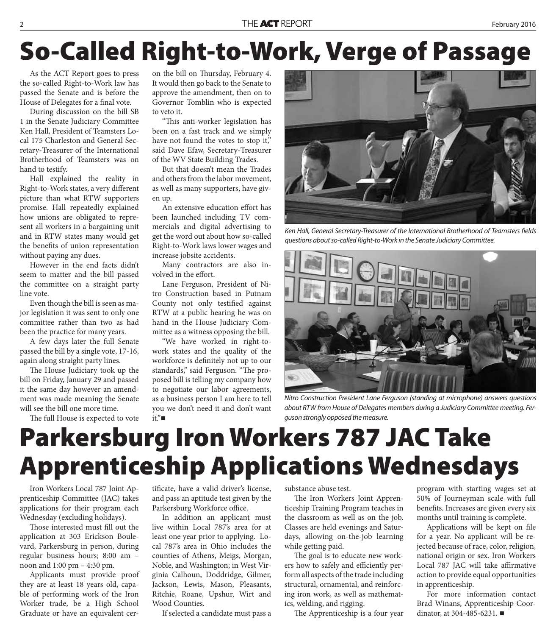# **So-Called Right-to-Work, Verge of Passage**

As the ACT Report goes to press the so-called Right-to-Work law has passed the Senate and is before the House of Delegates for a final vote.

During discussion on the bill SB 1 in the Senate Judiciary Committee Ken Hall, President of Teamsters Local 175 Charleston and General Secretary-Treasurer of the International Brotherhood of Teamsters was on hand to testify.

Hall explained the reality in Right-to-Work states, a very different picture than what RTW supporters promise. Hall repeatedly explained how unions are obligated to represent all workers in a bargaining unit and in RTW states many would get the benefits of union representation without paying any dues.

However in the end facts didn't seem to matter and the bill passed the committee on a straight party line vote.

Even though the bill is seen as major legislation it was sent to only one committee rather than two as had been the practice for many years.

A few days later the full Senate passed the bill by a single vote, 17-16, again along straight party lines.

The House Judiciary took up the bill on Friday, January 29 and passed it the same day however an amendment was made meaning the Senate will see the bill one more time.

The full House is expected to vote

on the bill on Thursday, February 4. It would then go back to the Senate to approve the amendment, then on to Governor Tomblin who is expected to veto it.

"This anti-worker legislation has been on a fast track and we simply have not found the votes to stop it," said Dave Efaw, Secretary-Treasurer of the WV State Building Trades.

But that doesn't mean the Trades and others from the labor movement, as well as many supporters, have given up.

An extensive education effort has been launched including TV commercials and digital advertising to get the word out about how so-called Right-to-Work laws lower wages and increase jobsite accidents.

Many contractors are also involved in the effort.

Lane Ferguson, President of Nitro Construction based in Putnam County not only testified against RTW at a public hearing he was on hand in the House Judiciary Committee as a witness opposing the bill.

"We have worked in right-towork states and the quality of the workforce is definitely not up to our standards," said Ferguson. "The proposed bill is telling my company how to negotiate our labor agreements, as a business person I am here to tell you we don't need it and don't want it."



Ken Hall, General Secretary-Treasurer of the International Brotherhood of Teamsters fields questions about so-called Right-to-Work in the Senate Judiciary Committee.



Nitro Construction President Lane Ferguson (standing at microphone) answers questions about RTW from House of Delegates members during a Judiciary Committee meeting. Ferguson strongly opposed the measure.

## **Parkersburg Iron Workers 787 JAC Take Apprenticeship Applications Wednesdays**

Iron Workers Local 787 Joint Apprenticeship Committee (JAC) takes applications for their program each Wednesday (excluding holidays).

Those interested must fill out the application at 303 Erickson Boulevard, Parkersburg in person, during regular business hours; 8:00 am – noon and 1:00 pm – 4:30 pm.

Applicants must provide proof they are at least 18 years old, capable of performing work of the Iron Worker trade, be a High School Graduate or have an equivalent certificate, have a valid driver's license, and pass an aptitude test given by the Parkersburg Workforce office.

In addition an applicant must live within Local 787's area for at least one year prior to applying. Local 787's area in Ohio includes the counties of Athens, Meigs, Morgan, Noble, and Washington; in West Virginia Calhoun, Doddridge, Gilmer, Jackson, Lewis, Mason, Pleasants, Ritchie, Roane, Upshur, Wirt and Wood Counties.

If selected a candidate must pass a

substance abuse test.

The Iron Workers Joint Apprenticeship Training Program teaches in the classroom as well as on the job. Classes are held evenings and Saturdays, allowing on-the-job learning while getting paid.

The goal is to educate new workers how to safely and efficiently perform all aspects of the trade including structural, ornamental, and reinforcing iron work, as well as mathematics, welding, and rigging.

The Apprenticeship is a four year

program with starting wages set at 50% of Journeyman scale with full benefits. Increases are given every six months until training is complete.

Applications will be kept on file for a year. No applicant will be rejected because of race, color, religion, national origin or sex. Iron Workers Local 787 JAC will take affirmative action to provide equal opportunities in apprenticeship.

For more information contact Brad Winans, Apprenticeship Coordinator, at 304-485-6231.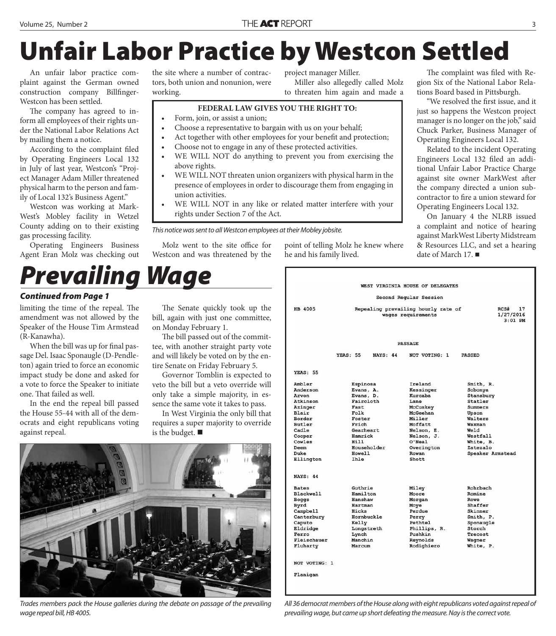# **Unfair Labor Practice by Westcon Settled**

An unfair labor practice complaint against the German owned construction company Billfinger-Westcon has been settled.

The company has agreed to inform all employees of their rights under the National Labor Relations Act by mailing them a notice.

According to the complaint filed by Operating Engineers Local 132 in July of last year, Westcon's "Project Manager Adam Miller threatened physical harm to the person and family of Local 132's Business Agent."

Westcon was working at Mark-West's Mobley facility in Wetzel County adding on to their existing gas processing facility.

Operating Engineers Business Agent Eran Molz was checking out the site where a number of contractors, both union and nonunion, were working.

project manager Miller. Miller also allegedly called Molz

to threaten him again and made a

### **FEDERAL LAW GIVES YOU THE RIGHT TO:**

- Form, join, or assist a union;
	- Choose a representative to bargain with us on your behalf;
- Act together with other employees for your benefit and protection;
- Choose not to engage in any of these protected activities.
- WE WILL NOT do anything to prevent you from exercising the above rights.
- WE WILL NOT threaten union organizers with physical harm in the presence of employees in order to discourage them from engaging in union activities.
- WE WILL NOT in any like or related matter interfere with your rights under Section 7 of the Act.

This notice was sent to all Westcon employees at their Mobley jobsite.

Molz went to the site office for Westcon and was threatened by the

point of telling Molz he knew where he and his family lived.

The complaint was filed with Region Six of the National Labor Relations Board based in Pittsburgh.

"We resolved the first issue, and it just so happens the Westcon project manager is no longer on the job," said Chuck Parker, Business Manager of Operating Engineers Local 132.

Related to the incident Operating Engineers Local 132 filed an additional Unfair Labor Practice Charge against site owner MarkWest after the company directed a union subcontractor to fire a union steward for Operating Engineers Local 132.

On January 4 the NLRB issued a complaint and notice of hearing against MarkWest Liberty Midstream & Resources LLC, and set a hearing date of March 17.

# *Prevailing Wage*

### *Continued from Page 1*

limiting the time of the repeal. The amendment was not allowed by the Speaker of the House Tim Armstead (R-Kanawha).

When the bill was up for final passage Del. Isaac Sponaugle (D-Pendleton) again tried to force an economic impact study be done and asked for a vote to force the Speaker to initiate one. That failed as well.

In the end the repeal bill passed the House 55-44 with all of the democrats and eight republicans voting against repeal.

The Senate quickly took up the bill, again with just one committee, on Monday February 1.

The bill passed out of the committee, with another straight party vote and will likely be voted on by the entire Senate on Friday February 5.

Governor Tomblin is expected to veto the bill but a veto override will only take a simple majority, in essence the same vote it takes to pass.

In West Virginia the only bill that requires a super majority to override is the budget.  $\blacksquare$ 



Trades members pack the House galleries during the debate on passage of the prevailing wage repeal bill, HB 4005.

| WEST VIRGINIA HOUSE OF DELEGATES                                                                                                                         |                                                                                                                                                     |                                                                                                                                                            |                                                                                                                                                        |
|----------------------------------------------------------------------------------------------------------------------------------------------------------|-----------------------------------------------------------------------------------------------------------------------------------------------------|------------------------------------------------------------------------------------------------------------------------------------------------------------|--------------------------------------------------------------------------------------------------------------------------------------------------------|
| Second Regular Session                                                                                                                                   |                                                                                                                                                     |                                                                                                                                                            |                                                                                                                                                        |
| <b>HB 4005</b>                                                                                                                                           |                                                                                                                                                     | Repealing prevailing hourly rate of<br>wages requirements                                                                                                  | 17<br>RCS#<br>1/27/2016<br>$3:01$ PM                                                                                                                   |
| <b>PASSAGE</b>                                                                                                                                           |                                                                                                                                                     |                                                                                                                                                            |                                                                                                                                                        |
|                                                                                                                                                          | <b>YEAS: 55</b><br><b>NAYS: 44</b>                                                                                                                  | NOT VOTING: 1                                                                                                                                              | <b>PASSED</b>                                                                                                                                          |
| <b>YEAS: 55</b>                                                                                                                                          |                                                                                                                                                     |                                                                                                                                                            |                                                                                                                                                        |
| Ambler<br>Anderson<br>Arvon<br>Atkinson<br>Azinger<br>Blair<br>Border<br>Butler<br>Cadle<br>Cooper<br>Cowles<br>Deem<br>Duke<br>Ellington                | Espinosa<br>Evans, A.<br>Evans, D.<br>Faircloth<br>Fast<br>Folk<br>Foster<br>Frich<br>Gearheart<br>Hamrick<br>Hill<br>Householder<br>Howell<br>Ihle | Ireland<br>Kessinger<br>Kurcaba<br>Lane<br>McCuskey<br>McGeehan<br>Miller<br>Moffatt<br>Nelson, E.<br>Nelson, J.<br>O'Neal<br>Overington<br>Rowan<br>Shott | Smith, R.<br>Sobonya<br>Stansbury<br>Statler<br>Summers<br>Upson<br>Walters<br>Waxman<br>Weld<br>Westfall<br>White, B.<br>Zatezalo<br>Speaker Armstead |
| <b>NAYS: 44</b><br><b>Bates</b><br><b>Blackwell</b><br>Boggs<br>Byrd<br>Campbell<br>Canterbury<br>Caputo<br>Eldridge<br>Ferro<br>Fleischauer<br>Fluharty | Guthrie<br>Hamilton<br>Hanshaw<br>Hartman<br>Hicks<br>Hornbuckle<br>Kelly<br>Longstreth<br>Lynch<br>Manchin<br>Marcum                               | Miley<br>Moore<br>Morgan<br>Moye<br>Perdue<br>Perry<br>Pethtel<br>Phillips, R.<br>Pushkin<br>Reynolds<br>Rodighiero                                        | Rohrbach<br>Romine<br>Rowe<br>Shaffer<br>Skinner<br>Smith, P.<br>Sponaugle<br>Storch<br>Trecost<br>Wagner<br>White, P.                                 |
| NOT VOTING: 1<br>Flanigan                                                                                                                                |                                                                                                                                                     |                                                                                                                                                            |                                                                                                                                                        |

All 36 democrat members of the House along with eight republicans voted against repeal of prevailing wage, but came up short defeating the measure. Nay is the correct vote.